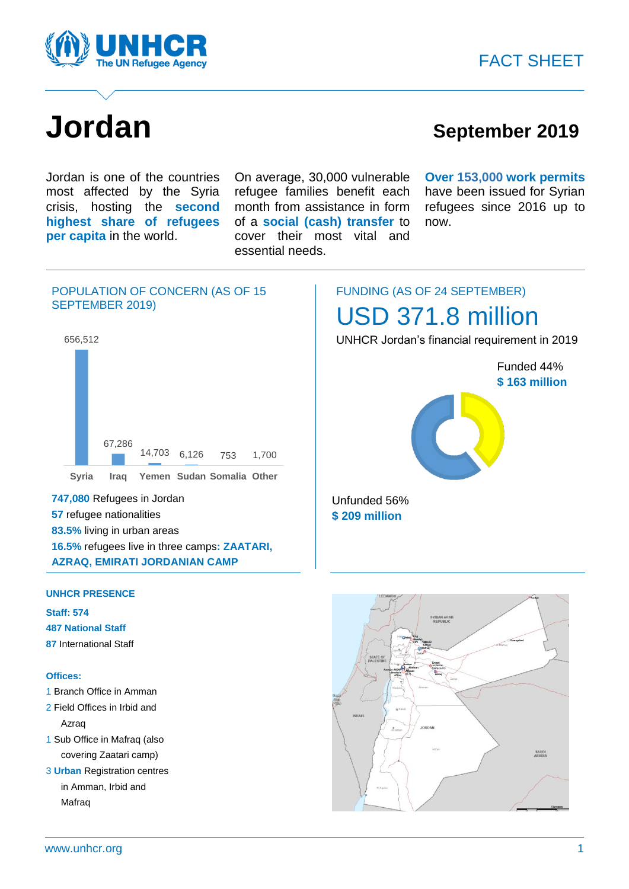



# **Jordan September** 2019

Jordan is one of the countries most affected by the Syria crisis, hosting the **second highest share of refugees per capita** in the world.

On average, 30,000 vulnerable refugee families benefit each month from assistance in form of a **social (cash) transfer** to cover their most vital and essential needs.

**Over 153,000 work permits**  have been issued for Syrian refugees since 2016 up to now.

### POPULATION OF CONCERN (AS OF 15 SEPTEMBER 2019)



**747,080** Refugees in Jordan **57** refugee nationalities **83.5%** living in urban areas **16.5%** refugees live in three camps**: ZAATARI, AZRAQ, EMIRATI JORDANIAN CAMP**

# FUNDING (AS OF 24 SEPTEMBER)

# USD 371.8 million

UNHCR Jordan's financial requirement in 2019



Unfunded 56% **\$ 209 million**

#### **UNHCR PRESENCE**

**Staff: 574 487 National Staff 87** International Staff

#### **Offices:**

 Branch Office in Amman Field Offices in Irbid and Azraq Sub Office in Mafraq (also

covering Zaatari camp) 3 **Urban** Registration centres

in Amman, Irbid and Mafraq

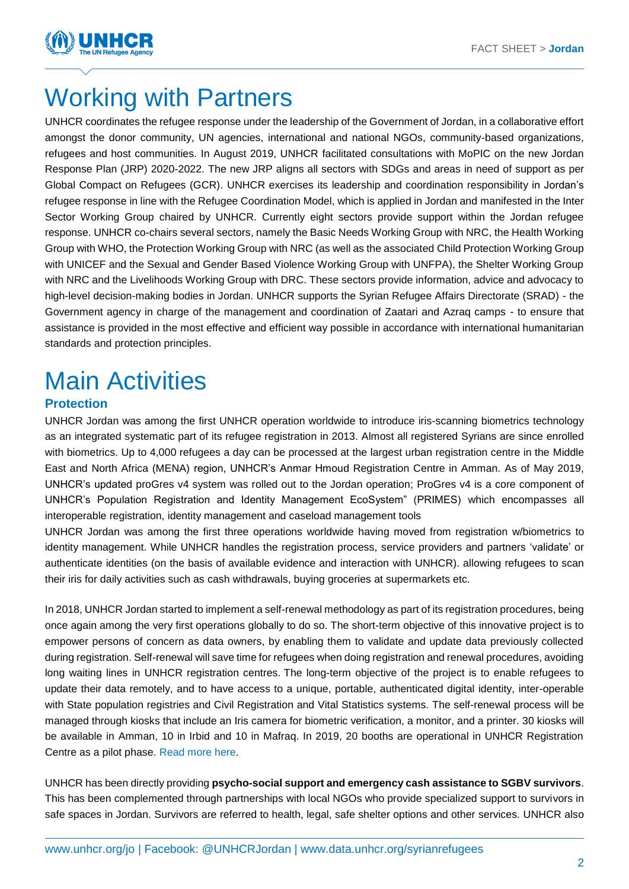

# Working with Partners

UNHCR coordinates the refugee response under the leadership of the Government of Jordan, in a collaborative effort amongst the donor community, UN agencies, international and national NGOs, community-based organizations, refugees and host communities. In August 2019, UNHCR facilitated consultations with MoPIC on the new Jordan Response Plan (JRP) 2020-2022. The new JRP aligns all sectors with SDGs and areas in need of support as per Global Compact on Refugees (GCR). UNHCR exercises its leadership and coordination responsibility in Jordan's refugee response in line with the Refugee Coordination Model, which is applied in Jordan and manifested in the Inter Sector Working Group chaired by UNHCR. Currently eight sectors provide support within the Jordan refugee response. UNHCR co-chairs several sectors, namely the Basic Needs Working Group with NRC, the Health Working Group with WHO, the Protection Working Group with NRC (as well as the associated Child Protection Working Group with UNICEF and the Sexual and Gender Based Violence Working Group with UNFPA), the Shelter Working Group with NRC and the Livelihoods Working Group with DRC. These sectors provide information, advice and advocacy to high-level decision-making bodies in Jordan. UNHCR supports the Syrian Refugee Affairs Directorate (SRAD) - the Government agency in charge of the management and coordination of Zaatari and Azraq camps - to ensure that assistance is provided in the most effective and efficient way possible in accordance with international humanitarian standards and protection principles.

# Main Activities

### **Protection**

UNHCR Jordan was among the first UNHCR operation worldwide to introduce iris-scanning biometrics technology as an integrated systematic part of its refugee registration in 2013. Almost all registered Syrians are since enrolled with biometrics. Up to 4,000 refugees a day can be processed at the largest urban registration centre in the Middle East and North Africa (MENA) region, UNHCR's Anmar Hmoud Registration Centre in Amman. As of May 2019, UNHCR's updated proGres v4 system was rolled out to the Jordan operation; ProGres v4 is a core component of UNHCR's Population Registration and Identity Management EcoSystem" (PRIMES) which encompasses all interoperable registration, identity management and caseload management tools

UNHCR Jordan was among the first three operations worldwide having moved from registration w/biometrics to identity management. While UNHCR handles the registration process, service providers and partners 'validate' or authenticate identities (on the basis of available evidence and interaction with UNHCR). allowing refugees to scan their iris for daily activities such as cash withdrawals, buying groceries at supermarkets etc.

In 2018, UNHCR Jordan started to implement a self-renewal methodology as part of its registration procedures, being once again among the very first operations globally to do so. The short-term objective of this innovative project is to empower persons of concern as data owners, by enabling them to validate and update data previously collected during registration. Self-renewal will save time for refugees when doing registration and renewal procedures, avoiding long waiting lines in UNHCR registration centres. The long-term objective of the project is to enable refugees to update their data remotely, and to have access to a unique, portable, authenticated digital identity, inter-operable with State population registries and Civil Registration and Vital Statistics systems. The self-renewal process will be managed through kiosks that include an Iris camera for biometric verification, a monitor, and a printer. 30 kiosks will be available in Amman, 10 in Irbid and 10 in Mafraq. In 2019, 20 booths are operational in UNHCR Registration Centre as a pilot phase. [Read more here.](https://www.unhcr.org/jo/11281-its-so-simple-even-my-nine-year-old-daughter-can-do-it.html)

UNHCR has been directly providing **psycho-social support and emergency cash assistance to SGBV survivors**. This has been complemented through partnerships with local NGOs who provide specialized support to survivors in safe spaces in Jordan. Survivors are referred to health, legal, safe shelter options and other services. UNHCR also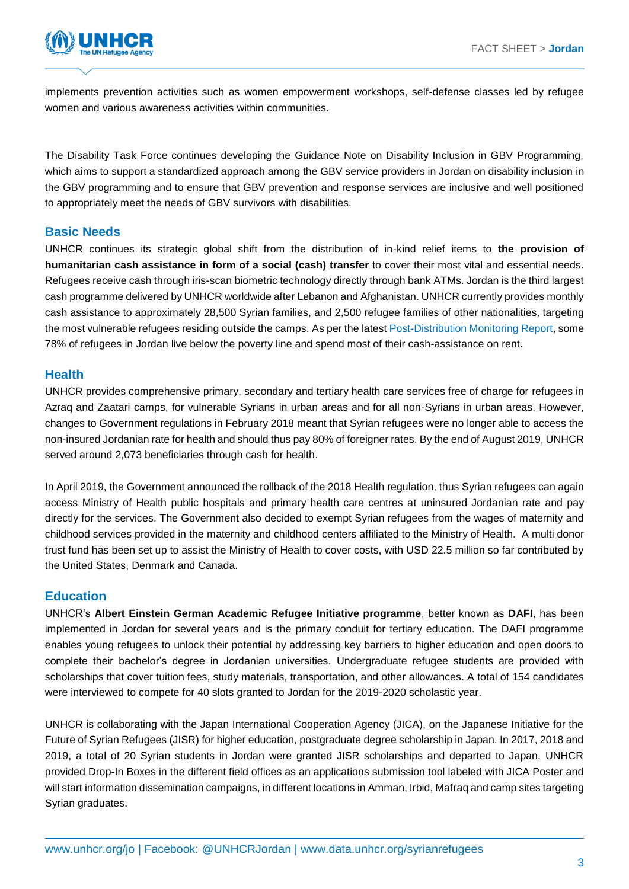

implements prevention activities such as women empowerment workshops, self-defense classes led by refugee women and various awareness activities within communities.

The Disability Task Force continues developing the Guidance Note on Disability Inclusion in GBV Programming, which aims to support a standardized approach among the GBV service providers in Jordan on disability inclusion in the GBV programming and to ensure that GBV prevention and response services are inclusive and well positioned to appropriately meet the needs of GBV survivors with disabilities.

### **Basic Needs**

UNHCR continues its strategic global shift from the distribution of in-kind relief items to **the provision of humanitarian cash assistance in form of a social (cash) transfer** to cover their most vital and essential needs. Refugees receive cash through iris-scan biometric technology directly through bank ATMs. Jordan is the third largest cash programme delivered by UNHCR worldwide after Lebanon and Afghanistan. UNHCR currently provides monthly cash assistance to approximately 28,500 Syrian families, and 2,500 refugee families of other nationalities, targeting the most vulnerable refugees residing outside the camps. As per the latest Post-Distribution [Monitoring Report,](https://data2.unhcr.org/en/documents/details/68296) some 78% of refugees in Jordan live below the poverty line and spend most of their cash-assistance on rent.

#### **Health**

UNHCR provides comprehensive primary, secondary and tertiary health care services free of charge for refugees in Azraq and Zaatari camps, for vulnerable Syrians in urban areas and for all non-Syrians in urban areas. However, changes to Government regulations in February 2018 meant that Syrian refugees were no longer able to access the non-insured Jordanian rate for health and should thus pay 80% of foreigner rates. By the end of August 2019, UNHCR served around 2,073 beneficiaries through cash for health.

In April 2019, the Government announced the rollback of the 2018 Health regulation, thus Syrian refugees can again access Ministry of Health public hospitals and primary health care centres at uninsured Jordanian rate and pay directly for the services. The Government also decided to exempt Syrian refugees from the wages of maternity and childhood services provided in the maternity and childhood centers affiliated to the Ministry of Health. A multi donor trust fund has been set up to assist the Ministry of Health to cover costs, with USD 22.5 million so far contributed by the United States, Denmark and Canada.

#### **Education**

UNHCR's **Albert Einstein German Academic Refugee Initiative programme**, better known as **DAFI**, has been implemented in Jordan for several years and is the primary conduit for tertiary education. The DAFI programme enables young refugees to unlock their potential by addressing key barriers to higher education and open doors to complete their bachelor's degree in Jordanian universities. Undergraduate refugee students are provided with scholarships that cover tuition fees, study materials, transportation, and other allowances. A total of 154 candidates were interviewed to compete for 40 slots granted to Jordan for the 2019-2020 scholastic year.

UNHCR is collaborating with the Japan International Cooperation Agency (JICA), on the Japanese Initiative for the Future of Syrian Refugees (JISR) for higher education, postgraduate degree scholarship in Japan. In 2017, 2018 and 2019, a total of 20 Syrian students in Jordan were granted JISR scholarships and departed to Japan. UNHCR provided Drop-In Boxes in the different field offices as an applications submission tool labeled with JICA Poster and will start information dissemination campaigns, in different locations in Amman, Irbid, Mafraq and camp sites targeting Syrian graduates.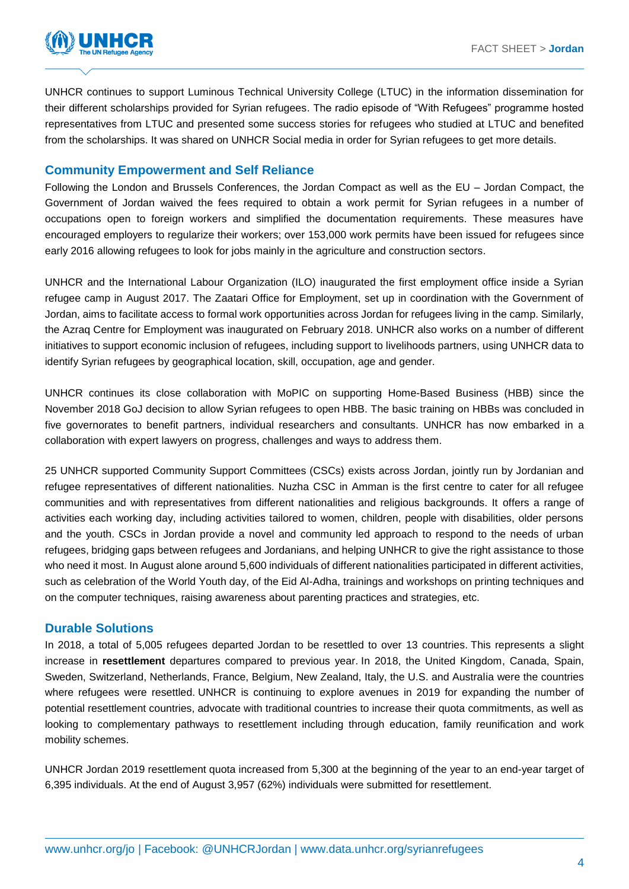

UNHCR continues to support Luminous Technical University College (LTUC) in the information dissemination for their different scholarships provided for Syrian refugees. The radio episode of "With Refugees" programme hosted representatives from LTUC and presented some success stories for refugees who studied at LTUC and benefited from the scholarships. It was shared on UNHCR Social media in order for Syrian refugees to get more details.

#### **Community Empowerment and Self Reliance**

Following the London and Brussels Conferences, the Jordan Compact as well as the EU – Jordan Compact, the Government of Jordan waived the fees required to obtain a work permit for Syrian refugees in a number of occupations open to foreign workers and simplified the documentation requirements. These measures have encouraged employers to regularize their workers; over 153,000 work permits have been issued for refugees since early 2016 allowing refugees to look for jobs mainly in the agriculture and construction sectors.

UNHCR and the International Labour Organization (ILO) inaugurated the first employment office inside a Syrian refugee camp in August 2017. The Zaatari Office for Employment, set up in coordination with the Government of Jordan, aims to facilitate access to formal work opportunities across Jordan for refugees living in the camp. Similarly, the Azraq Centre for Employment was inaugurated on February 2018. UNHCR also works on a number of different initiatives to support economic inclusion of refugees, including support to livelihoods partners, using UNHCR data to identify Syrian refugees by geographical location, skill, occupation, age and gender.

UNHCR continues its close collaboration with MoPIC on supporting Home-Based Business (HBB) since the November 2018 GoJ decision to allow Syrian refugees to open HBB. The basic training on HBBs was concluded in five governorates to benefit partners, individual researchers and consultants. UNHCR has now embarked in a collaboration with expert lawyers on progress, challenges and ways to address them.

25 UNHCR supported Community Support Committees (CSCs) exists across Jordan, jointly run by Jordanian and refugee representatives of different nationalities. Nuzha CSC in Amman is the first centre to cater for all refugee communities and with representatives from different nationalities and religious backgrounds. It offers a range of activities each working day, including activities tailored to women, children, people with disabilities, older persons and the youth. CSCs in Jordan provide a novel and community led approach to respond to the needs of urban refugees, bridging gaps between refugees and Jordanians, and helping UNHCR to give the right assistance to those who need it most. In August alone around 5,600 individuals of different nationalities participated in different activities, such as celebration of the World Youth day, of the Eid Al-Adha, trainings and workshops on printing techniques and on the computer techniques, raising awareness about parenting practices and strategies, etc.

#### **Durable Solutions**

In 2018, a total of 5,005 refugees departed Jordan to be resettled to over 13 countries. This represents a slight increase in **resettlement** departures compared to previous year. In 2018, the United Kingdom, Canada, Spain, Sweden, Switzerland, Netherlands, France, Belgium, New Zealand, Italy, the U.S. and Australia were the countries where refugees were resettled. UNHCR is continuing to explore avenues in 2019 for expanding the number of potential resettlement countries, advocate with traditional countries to increase their quota commitments, as well as looking to complementary pathways to resettlement including through education, family reunification and work mobility schemes.

UNHCR Jordan 2019 resettlement quota increased from 5,300 at the beginning of the year to an end-year target of 6,395 individuals. At the end of August 3,957 (62%) individuals were submitted for resettlement.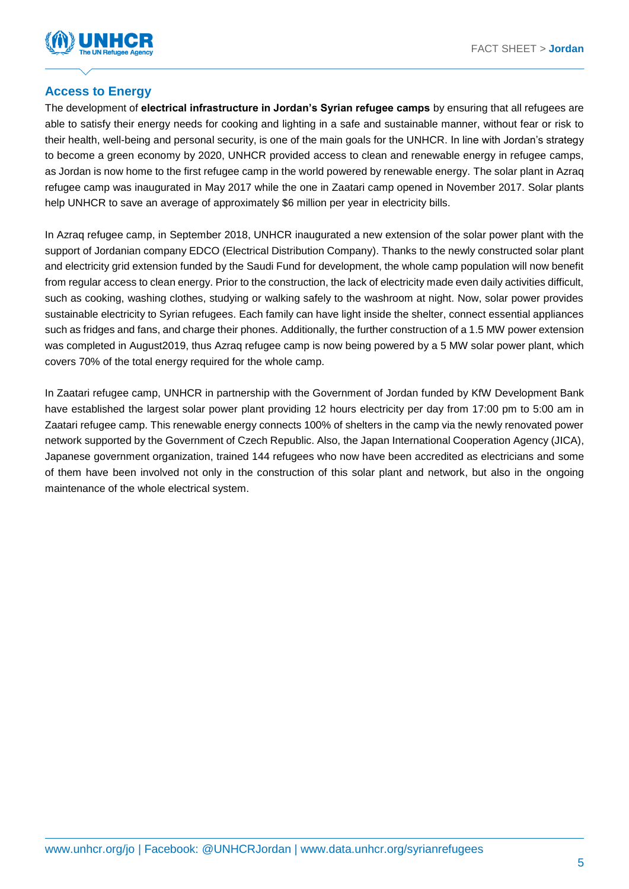

### **Access to Energy**

The development of **electrical infrastructure in Jordan's Syrian refugee camps** by ensuring that all refugees are able to satisfy their energy needs for cooking and lighting in a safe and sustainable manner, without fear or risk to their health, well-being and personal security, is one of the main goals for the UNHCR. In line with Jordan's strategy to become a green economy by 2020, UNHCR provided access to clean and renewable energy in refugee camps, as Jordan is now home to the first refugee camp in the world powered by renewable energy. The solar plant in Azraq refugee camp was inaugurated in May 2017 while the one in Zaatari camp opened in November 2017. Solar plants help UNHCR to save an average of approximately \$6 million per year in electricity bills.

In Azraq refugee camp, in September 2018, UNHCR inaugurated a new extension of the solar power plant with the support of Jordanian company EDCO (Electrical Distribution Company). Thanks to the newly constructed solar plant and electricity grid extension funded by the Saudi Fund for development, the whole camp population will now benefit from regular access to clean energy. Prior to the construction, the lack of electricity made even daily activities difficult, such as cooking, washing clothes, studying or walking safely to the washroom at night. Now, solar power provides sustainable electricity to Syrian refugees. Each family can have light inside the shelter, connect essential appliances such as fridges and fans, and charge their phones. Additionally, the further construction of a 1.5 MW power extension was completed in August2019, thus Azraq refugee camp is now being powered by a 5 MW solar power plant, which covers 70% of the total energy required for the whole camp.

In Zaatari refugee camp, UNHCR in partnership with the Government of Jordan funded by KfW Development Bank have established the largest solar power plant providing 12 hours electricity per day from 17:00 pm to 5:00 am in Zaatari refugee camp. This renewable energy connects 100% of shelters in the camp via the newly renovated power network supported by the Government of Czech Republic. Also, the Japan International Cooperation Agency (JICA), Japanese government organization, trained 144 refugees who now have been accredited as electricians and some of them have been involved not only in the construction of this solar plant and network, but also in the ongoing maintenance of the whole electrical system.